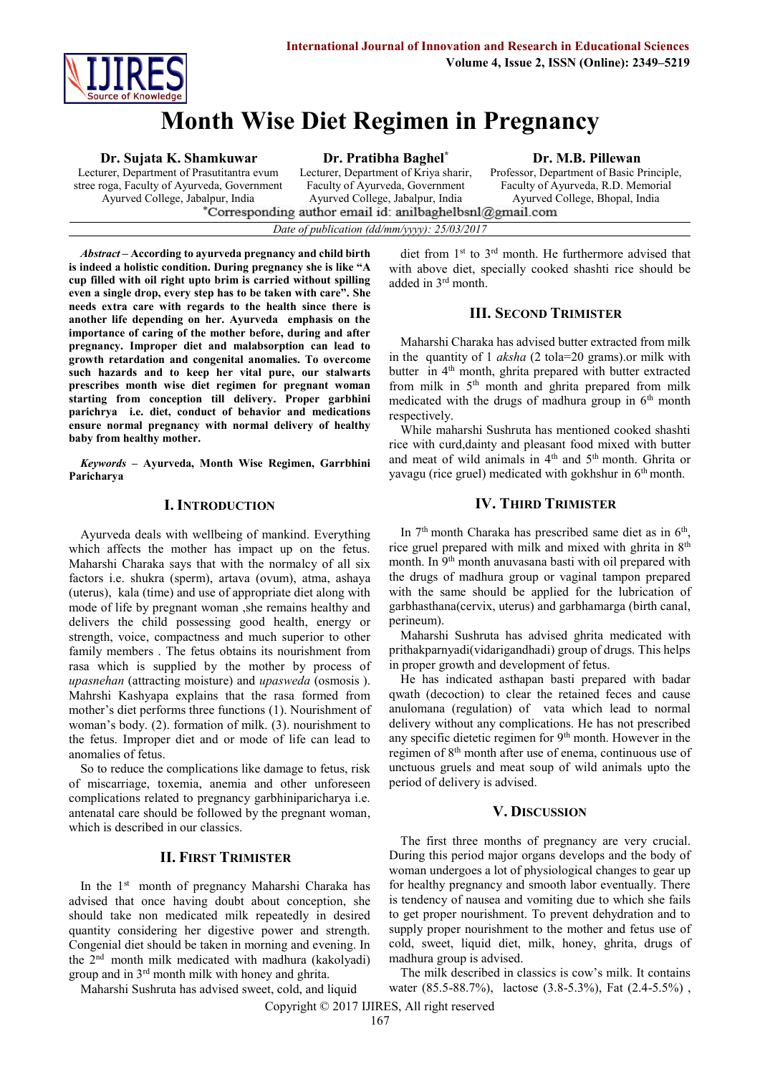

# **Month Wise Diet Regimen in Pregnancy**

#### **Dr. Sujata K. Shamkuwar**

Lecturer, Department of Prasutitantra evum stree roga, Faculty of Ayurveda, Government Ayurved College, Jabalpur, India<br>Corresponding author email id: anilbaghelbsnl@gmail.com<sup>\*</sup>Corresponding author email id: anilbaghelbsnl@gmail.com

**Dr. Pratibha Baghel\***

Lecturer, Department of Kriya sharir, Faculty of Ayurveda, Government Ayurved College, Jabalpur, India

**Dr. M.B. Pillewan**

Professor, Department of Basic Principle, Faculty of Ayurveda, R.D. Memorial Ayurved College, Bhopal, India

*Date of publication (dd/mm/yyyy): 25/03/2017*

*Abstract* **– According to ayurveda pregnancy and child birth is indeed a holistic condition. During pregnancy she is like "A cup filled with oil right upto brim is carried without spilling even a single drop, every step has to be taken with care". She needs extra care with regards to the health since there is another life depending on her. Ayurveda emphasis on the importance of caring of the mother before, during and after pregnancy. Improper diet and malabsorption can lead to growth retardation and congenital anomalies. To overcome such hazards and to keep her vital pure, our stalwarts prescribes month wise diet regimen for pregnant woman starting from conception till delivery. Proper garbhini parichrya i.e. diet, conduct of behavior and medications ensure normal pregnancy with normal delivery of healthy baby from healthy mother.**

*Keywords* **– Ayurveda, Month Wise Regimen, Garrbhini Paricharya**

#### **I. INTRODUCTION**

Ayurveda deals with wellbeing of mankind. Everything which affects the mother has impact up on the fetus. Maharshi Charaka says that with the normalcy of all six factors i.e. shukra (sperm), artava (ovum), atma, ashaya (uterus), kala (time) and use of appropriate diet along with mode of life by pregnant woman ,she remains healthy and delivers the child possessing good health, energy or strength, voice, compactness and much superior to other family members . The fetus obtains its nourishment from rasa which is supplied by the mother by process of *upasnehan* (attracting moisture) and *upasweda* (osmosis ). Mahrshi Kashyapa explains that the rasa formed from mother's diet performs three functions (1). Nourishment of woman's body. (2). formation of milk. (3). nourishment to the fetus. Improper diet and or mode of life can lead to anomalies of fetus.

So to reduce the complications like damage to fetus, risk of miscarriage, toxemia, anemia and other unforeseen complications related to pregnancy garbhiniparicharya i.e. antenatal care should be followed by the pregnant woman, which is described in our classics.

## **II. FIRST TRIMISTER**

In the 1st month of pregnancy Maharshi Charaka has advised that once having doubt about conception, she should take non medicated milk repeatedly in desired quantity considering her digestive power and strength. Congenial diet should be taken in morning and evening. In the 2nd month milk medicated with madhura (kakolyadi) group and in 3rd month milk with honey and ghrita.

Maharshi Sushruta has advised sweet, cold, and liquid

diet from 1st to 3rd month. He furthermore advised that with above diet, specially cooked shashti rice should be added in 3rd month.

## **III. SECOND TRIMISTER**

Maharshi Charaka has advised butter extracted from milk in the quantity of 1 *aksha* (2 tola=20 grams).or milk with butter in 4<sup>th</sup> month, ghrita prepared with butter extracted from milk in 5<sup>th</sup> month and ghrita prepared from milk medicated with the drugs of madhura group in  $6<sup>th</sup>$  month respectively.

While maharshi Sushruta has mentioned cooked shashti rice with curd,dainty and pleasant food mixed with butter and meat of wild animals in 4<sup>th</sup> and 5<sup>th</sup> month. Ghrita or yavagu (rice gruel) medicated with gokhshur in 6<sup>th</sup> month.

## **IV. THIRD TRIMISTER**

In  $7<sup>th</sup>$  month Charaka has prescribed same diet as in  $6<sup>th</sup>$ , rice gruel prepared with milk and mixed with ghrita in  $8<sup>th</sup>$ month. In 9<sup>th</sup> month anuvasana basti with oil prepared with the drugs of madhura group or vaginal tampon prepared with the same should be applied for the lubrication of garbhasthana(cervix, uterus) and garbhamarga (birth canal, perineum).

Maharshi Sushruta has advised ghrita medicated with prithakparnyadi(vidarigandhadi) group of drugs. This helps in proper growth and development of fetus.

He has indicated asthapan basti prepared with badar qwath (decoction) to clear the retained feces and cause anulomana (regulation) of vata which lead to normal delivery without any complications. He has not prescribed any specific dietetic regimen for 9th month. However in the regimen of 8th month after use of enema, continuous use of unctuous gruels and meat soup of wild animals upto the period of delivery is advised.

## **V. DISCUSSION**

The first three months of pregnancy are very crucial. During this period major organs develops and the body of woman undergoes a lot of physiological changes to gear up for healthy pregnancy and smooth labor eventually. There is tendency of nausea and vomiting due to which she fails to get proper nourishment. To prevent dehydration and to supply proper nourishment to the mother and fetus use of cold, sweet, liquid diet, milk, honey, ghrita, drugs of madhura group is advised.

The milk described in classics is cow's milk. It contains water (85.5-88.7%), lactose (3.8-5.3%), Fat (2.4-5.5%) ,

Copyright © 2017 IJIRES, All right reserved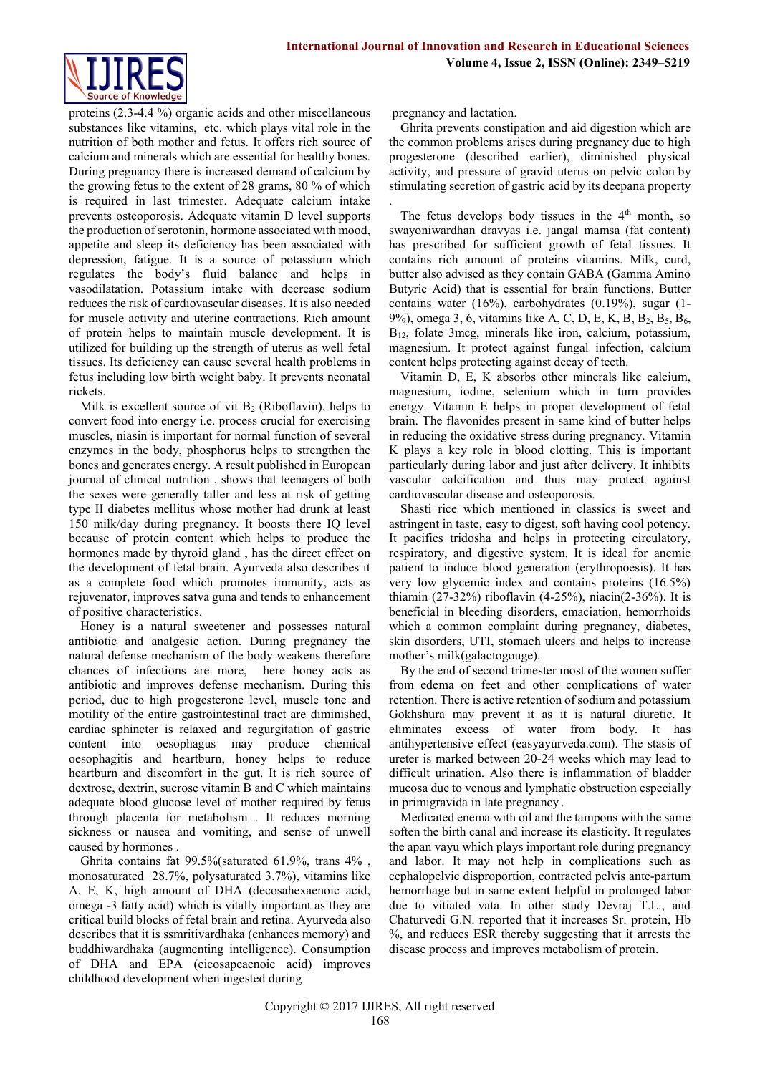

proteins (2.3-4.4 %) organic acids and other miscellaneous substances like vitamins, etc. which plays vital role in the nutrition of both mother and fetus. It offers rich source of calcium and minerals which are essential for healthy bones. During pregnancy there is increased demand of calcium by the growing fetus to the extent of 28 grams, 80 % of which is required in last trimester. Adequate calcium intake prevents osteoporosis. Adequate vitamin D level supports the production of serotonin, hormone associated with mood, appetite and sleep its deficiency has been associated with depression, fatigue. It is a source of potassium which regulates the body's fluid balance and helps in vasodilatation. Potassium intake with decrease sodium reduces the risk of cardiovascular diseases. It is also needed for muscle activity and uterine contractions. Rich amount of protein helps to maintain muscle development. It is utilized for building up the strength of uterus as well fetal tissues. Its deficiency can cause several health problems in fetus including low birth weight baby. It prevents neonatal rickets.

Milk is excellent source of vit  $B_2$  (Riboflavin), helps to convert food into energy i.e. process crucial for exercising muscles, niasin is important for normal function of several enzymes in the body, phosphorus helps to strengthen the bones and generates energy. A result published in European journal of clinical nutrition , shows that teenagers of both the sexes were generally taller and less at risk of getting type II diabetes mellitus whose mother had drunk at least 150 milk/day during pregnancy. It boosts there IQ level because of protein content which helps to produce the hormones made by thyroid gland , has the direct effect on the development of fetal brain. Ayurveda also describes it as a complete food which promotes immunity, acts as rejuvenator, improves satva guna and tends to enhancement of positive characteristics.

Honey is a natural sweetener and possesses natural antibiotic and analgesic action. During pregnancy the natural defense mechanism of the body weakens therefore chances of infections are more, here honey acts as antibiotic and improves defense mechanism. During this period, due to high progesterone level, muscle tone and motility of the entire gastrointestinal tract are diminished, cardiac sphincter is relaxed and regurgitation of gastric content into oesophagus may produce chemical oesophagitis and heartburn, honey helps to reduce heartburn and discomfort in the gut. It is rich source of dextrose, dextrin, sucrose vitamin B and C which maintains adequate blood glucose level of mother required by fetus through placenta for metabolism . It reduces morning sickness or nausea and vomiting, and sense of unwell caused by hormones .

Ghrita contains fat 99.5%(saturated 61.9%, trans 4% , monosaturated 28.7%, polysaturated 3.7%), vitamins like A, E, K, high amount of DHA (decosahexaenoic acid, omega -3 fatty acid) which is vitally important as they are critical build blocks of fetal brain and retina. Ayurveda also describes that it is ssmritivardhaka (enhances memory) and buddhiwardhaka (augmenting intelligence). Consumption of DHA and EPA (eicosapeaenoic acid) improves childhood development when ingested during

pregnancy and lactation.

.

Ghrita prevents constipation and aid digestion which are the common problems arises during pregnancy due to high progesterone (described earlier), diminished physical activity, and pressure of gravid uterus on pelvic colon by stimulating secretion of gastric acid by its deepana property

The fetus develops body tissues in the  $4<sup>th</sup>$  month, so swayoniwardhan dravyas i.e. jangal mamsa (fat content) has prescribed for sufficient growth of fetal tissues. It contains rich amount of proteins vitamins. Milk, curd, butter also advised as they contain GABA (Gamma Amino Butyric Acid) that is essential for brain functions. Butter contains water (16%), carbohydrates (0.19%), sugar (1- 9%), omega 3, 6, vitamins like A, C, D, E, K, B, B2, B5, B6, B12, folate 3mcg, minerals like iron, calcium, potassium, magnesium. It protect against fungal infection, calcium content helps protecting against decay of teeth.

Vitamin D, E, K absorbs other minerals like calcium, magnesium, iodine, selenium which in turn provides energy. Vitamin E helps in proper development of fetal brain. The flavonides present in same kind of butter helps in reducing the oxidative stress during pregnancy. Vitamin K plays a key role in blood clotting. This is important particularly during labor and just after delivery. It inhibits vascular calcification and thus may protect against cardiovascular disease and osteoporosis.

Shasti rice which mentioned in classics is sweet and astringent in taste, easy to digest, soft having cool potency. It pacifies tridosha and helps in protecting circulatory, respiratory, and digestive system. It is ideal for anemic patient to induce blood generation (erythropoesis). It has very low glycemic index and contains proteins (16.5%) thiamin (27-32%) riboflavin (4-25%), niacin(2-36%). It is beneficial in bleeding disorders, emaciation, hemorrhoids which a common complaint during pregnancy, diabetes, skin disorders, UTI, stomach ulcers and helps to increase mother's milk(galactogouge).

By the end of second trimester most of the women suffer from edema on feet and other complications of water retention. There is active retention of sodium and potassium Gokhshura may prevent it as it is natural diuretic. It eliminates excess of water from body. It has antihypertensive effect (easyayurveda.com). The stasis of ureter is marked between 20-24 weeks which may lead to difficult urination. Also there is inflammation of bladder mucosa due to venous and lymphatic obstruction especially in primigravida in late pregnancy .

Medicated enema with oil and the tampons with the same soften the birth canal and increase its elasticity. It regulates the apan vayu which plays important role during pregnancy and labor. It may not help in complications such as cephalopelvic disproportion, contracted pelvis ante-partum hemorrhage but in same extent helpful in prolonged labor due to vitiated vata. In other study Devraj T.L., and Chaturvedi G.N. reported that it increases Sr. protein, Hb %, and reduces ESR thereby suggesting that it arrests the disease process and improves metabolism of protein.